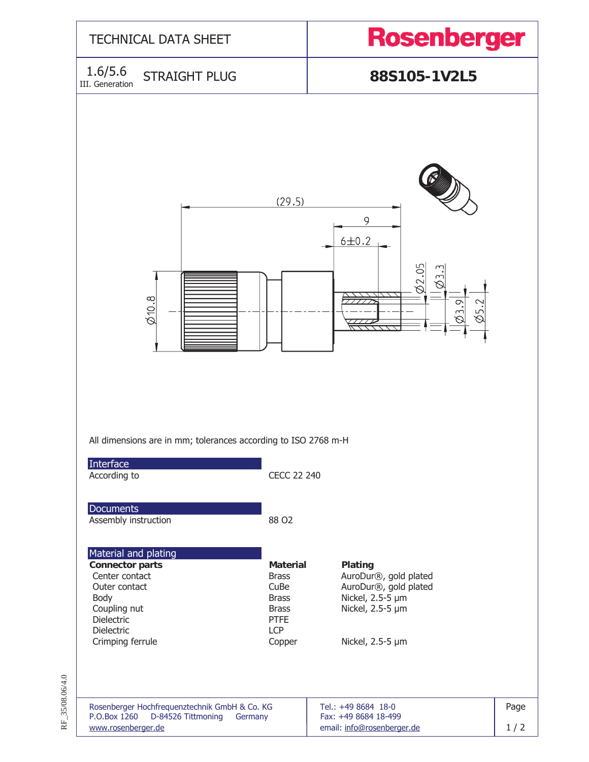

RF 35/08.06/4.0 RF\_35/08.06/4.0